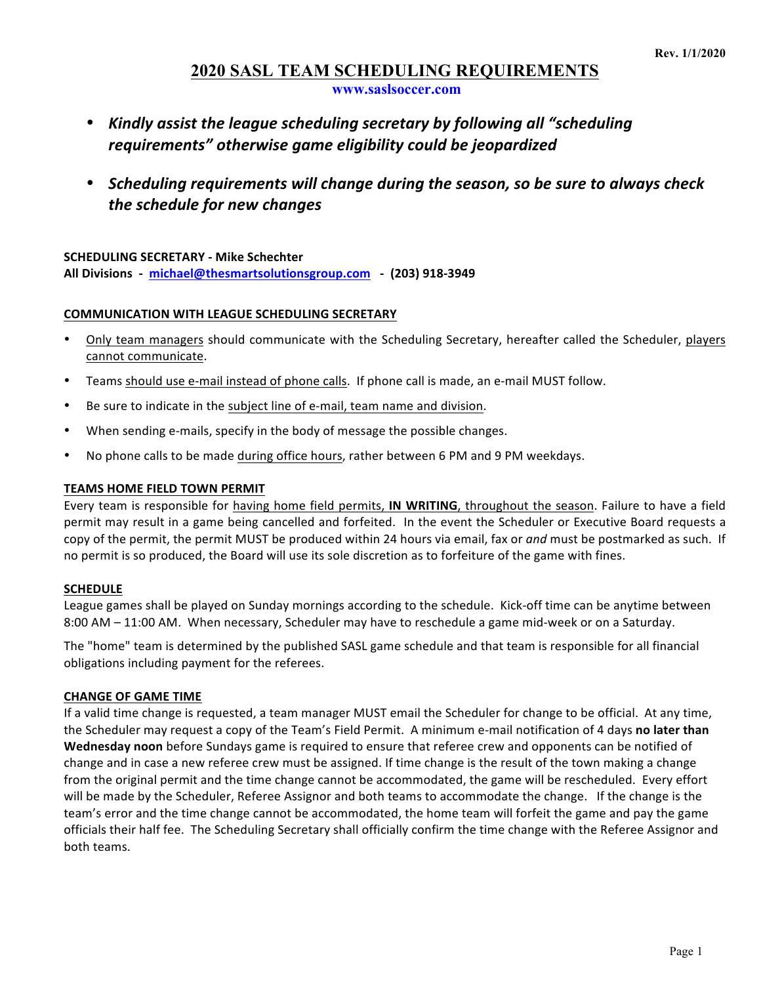# **2020 SASL TEAM SCHEDULING REQUIREMENTS**

**www.saslsoccer.com**

- Kindly assist the league scheduling secretary by following all "scheduling" requirements" otherwise game eligibility could be jeopardized
- Scheduling requirements will change during the season, so be sure to always check *the schedule for new changes*

## **SCHEDULING SECRETARY - Mike Schechter**

All Divisions - michael@thesmartsolutionsgroup.com - (203) 918-3949

## **COMMUNICATION WITH LEAGUE SCHEDULING SECRETARY**

- Only team managers should communicate with the Scheduling Secretary, hereafter called the Scheduler, players cannot communicate.
- Teams should use e-mail instead of phone calls. If phone call is made, an e-mail MUST follow.
- Be sure to indicate in the subject line of e-mail, team name and division.
- When sending e-mails, specify in the body of message the possible changes.
- No phone calls to be made during office hours, rather between 6 PM and 9 PM weekdays.

## **TEAMS HOME FIELD TOWN PERMIT**

Every team is responsible for having home field permits, IN WRITING, throughout the season. Failure to have a field permit may result in a game being cancelled and forfeited. In the event the Scheduler or Executive Board requests a copy of the permit, the permit MUST be produced within 24 hours via email, fax or *and* must be postmarked as such. If no permit is so produced, the Board will use its sole discretion as to forfeiture of the game with fines.

### **SCHEDULE**

League games shall be played on Sunday mornings according to the schedule. Kick-off time can be anytime between 8:00 AM – 11:00 AM. When necessary, Scheduler may have to reschedule a game mid-week or on a Saturday.

The "home" team is determined by the published SASL game schedule and that team is responsible for all financial obligations including payment for the referees.

## **CHANGE OF GAME TIME**

If a valid time change is requested, a team manager MUST email the Scheduler for change to be official. At any time, the Scheduler may request a copy of the Team's Field Permit. A minimum e-mail notification of 4 days no later than **Wednesday noon** before Sundays game is required to ensure that referee crew and opponents can be notified of change and in case a new referee crew must be assigned. If time change is the result of the town making a change from the original permit and the time change cannot be accommodated, the game will be rescheduled. Every effort will be made by the Scheduler, Referee Assignor and both teams to accommodate the change. If the change is the team's error and the time change cannot be accommodated, the home team will forfeit the game and pay the game officials their half fee. The Scheduling Secretary shall officially confirm the time change with the Referee Assignor and both teams.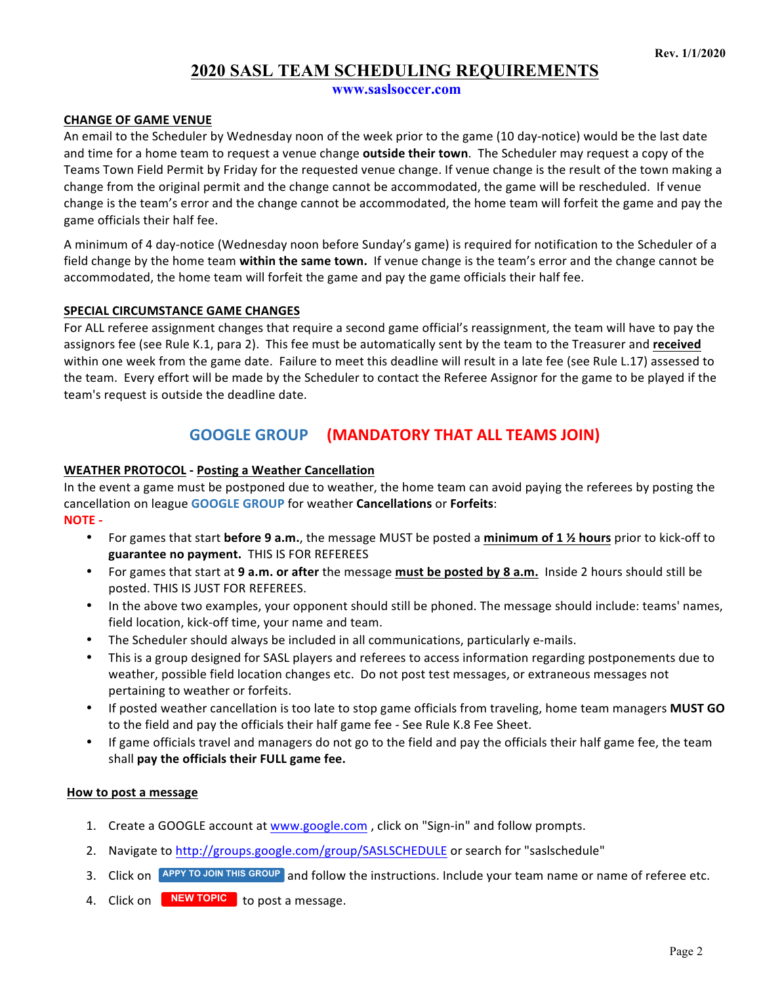# **2020 SASL TEAM SCHEDULING REQUIREMENTS**

**www.saslsoccer.com**

## **CHANGE OF GAME VENUE**

An email to the Scheduler by Wednesday noon of the week prior to the game (10 day-notice) would be the last date and time for a home team to request a venue change **outside their town**. The Scheduler may request a copy of the Teams Town Field Permit by Friday for the requested venue change. If venue change is the result of the town making a change from the original permit and the change cannot be accommodated, the game will be rescheduled. If venue change is the team's error and the change cannot be accommodated, the home team will forfeit the game and pay the game officials their half fee.

A minimum of 4 day-notice (Wednesday noon before Sunday's game) is required for notification to the Scheduler of a field change by the home team **within the same town.** If venue change is the team's error and the change cannot be accommodated, the home team will forfeit the game and pay the game officials their half fee.

## **SPECIAL CIRCUMSTANCE GAME CHANGES**

For ALL referee assignment changes that require a second game official's reassignment, the team will have to pay the assignors fee (see Rule K.1, para 2). This fee must be automatically sent by the team to the Treasurer and received within one week from the game date. Failure to meet this deadline will result in a late fee (see Rule L.17) assessed to the team. Every effort will be made by the Scheduler to contact the Referee Assignor for the game to be played if the team's request is outside the deadline date.

## **GOOGLE GROUP** (MANDATORY THAT ALL TEAMS JOIN)

## **WEATHER PROTOCOL - Posting a Weather Cancellation**

In the event a game must be postponed due to weather, the home team can avoid paying the referees by posting the cancellation on league **GOOGLE GROUP** for weather **Cancellations** or **Forfeits**: 

**NOTE -**

- For games that start **before 9 a.m.**, the message MUST be posted a minimum of 1 1⁄2 hours prior to kick-off to guarantee no payment. THIS IS FOR REFEREES
- For games that start at 9 a.m. or after the message must be posted by 8 a.m. Inside 2 hours should still be posted. THIS IS JUST FOR REFEREES.
- In the above two examples, your opponent should still be phoned. The message should include: teams' names, field location, kick-off time, your name and team.
- The Scheduler should always be included in all communications, particularly e-mails.
- This is a group designed for SASL players and referees to access information regarding postponements due to weather, possible field location changes etc. Do not post test messages, or extraneous messages not pertaining to weather or forfeits.
- If posted weather cancellation is too late to stop game officials from traveling, home team managers MUST GO to the field and pay the officials their half game fee - See Rule K.8 Fee Sheet.
- If game officials travel and managers do not go to the field and pay the officials their half game fee, the team shall pay the officials their FULL game fee.

### **How to post a message**

- 1. Create a GOOGLE account at www.google.com, click on "Sign-in" and follow prompts.
- 2. Navigate to http://groups.google.com/group/SASLSCHEDULE or search for "saslschedule"
- 3. Click on **APPY TO JOIN THIS GROUP** and follow the instructions. Include your team name or name of referee etc.
- 4. Click on **NEW TOPIC** to post a message.